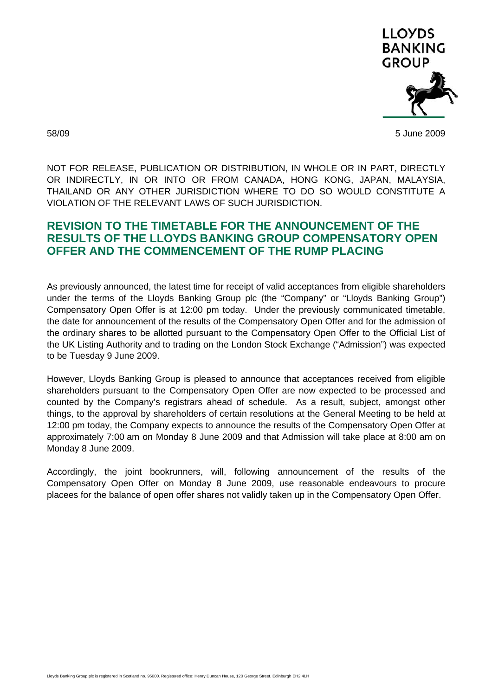

58/09 5 June 2009

NOT FOR RELEASE, PUBLICATION OR DISTRIBUTION, IN WHOLE OR IN PART, DIRECTLY OR INDIRECTLY, IN OR INTO OR FROM CANADA, HONG KONG, JAPAN, MALAYSIA, THAILAND OR ANY OTHER JURISDICTION WHERE TO DO SO WOULD CONSTITUTE A VIOLATION OF THE RELEVANT LAWS OF SUCH JURISDICTION.

## **REVISION TO THE TIMETABLE FOR THE ANNOUNCEMENT OF THE RESULTS OF THE LLOYDS BANKING GROUP COMPENSATORY OPEN OFFER AND THE COMMENCEMENT OF THE RUMP PLACING**

As previously announced, the latest time for receipt of valid acceptances from eligible shareholders under the terms of the Lloyds Banking Group plc (the "Company" or "Lloyds Banking Group") Compensatory Open Offer is at 12:00 pm today. Under the previously communicated timetable, the date for announcement of the results of the Compensatory Open Offer and for the admission of the ordinary shares to be allotted pursuant to the Compensatory Open Offer to the Official List of the UK Listing Authority and to trading on the London Stock Exchange ("Admission") was expected to be Tuesday 9 June 2009.

However, Lloyds Banking Group is pleased to announce that acceptances received from eligible shareholders pursuant to the Compensatory Open Offer are now expected to be processed and counted by the Company's registrars ahead of schedule. As a result, subject, amongst other things, to the approval by shareholders of certain resolutions at the General Meeting to be held at 12:00 pm today, the Company expects to announce the results of the Compensatory Open Offer at approximately 7:00 am on Monday 8 June 2009 and that Admission will take place at 8:00 am on Monday 8 June 2009.

Accordingly, the joint bookrunners, will, following announcement of the results of the Compensatory Open Offer on Monday 8 June 2009, use reasonable endeavours to procure placees for the balance of open offer shares not validly taken up in the Compensatory Open Offer.